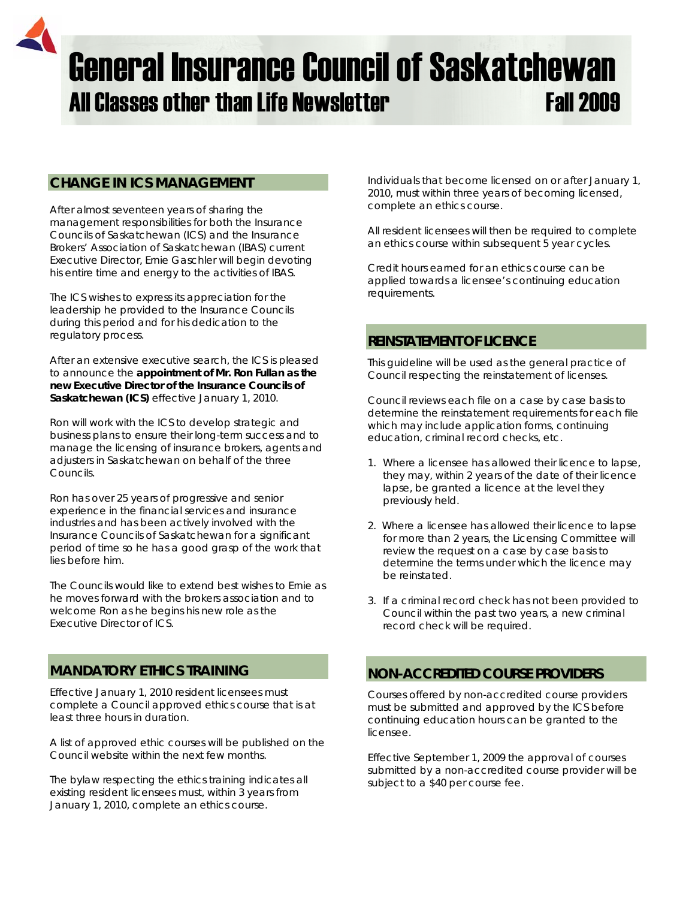# General Insurance Council of Saskatchewan All Classes other than Life Newsletter Fall 2009

## **CHANGE IN ICS MANAGEMENT**

After almost seventeen years of sharing the management responsibilities for both the Insurance Councils of Saskatchewan (ICS) and the Insurance Brokers' Association of Saskatchewan (IBAS) current Executive Director, Ernie Gaschler will begin devoting his entire time and energy to the activities of IBAS.

The ICS wishes to express its appreciation for the leadership he provided to the Insurance Councils during this period and for his dedication to the regulatory process.

After an extensive executive search, the ICS is pleased to announce the **appointment of Mr. Ron Fullan as the new Executive Director of the Insurance Councils of Saskatchewan (ICS)** effective January 1, 2010.

Ron will work with the ICS to develop strategic and business plans to ensure their long-term success and to manage the licensing of insurance brokers, agents and adjusters in Saskatchewan on behalf of the three Councils.

Ron has over 25 years of progressive and senior experience in the financial services and insurance industries and has been actively involved with the Insurance Councils of Saskatchewan for a significant period of time so he has a good grasp of the work that lies before him.

The Councils would like to extend best wishes to Ernie as he moves forward with the brokers association and to welcome Ron as he begins his new role as the Executive Director of ICS.

## **MANDATORY ETHICS TRAINING**

Effective January 1, 2010 resident licensees must complete a Council approved ethics course that is at least three hours in duration.

A list of approved ethic courses will be published on the Council website within the next few months.

The bylaw respecting the ethics training indicates all *existing resident licensees* must, within 3 years from January 1, 2010, complete an ethics course.

Individuals that *become licensed on or after January 1, 2010,* must within three years of becoming licensed, complete an ethics course.

All resident licensees will then be required to complete an ethics course within subsequent 5 year cycles.

Credit hours earned for an ethics course can be applied towards a licensee's continuing education requirements.

#### **REINSTATEMENT OF LICENCE**

This guideline will be used as the general practice of Council respecting the reinstatement of licenses.

Council reviews each file on a case by case basis to determine the reinstatement requirements for each file which may include application forms, continuing education, criminal record checks, etc.

- 1. Where a licensee has allowed their licence to lapse, they may, within 2 years of the date of their licence lapse, be granted a licence at the level they previously held.
- 2. Where a licensee has allowed their licence to lapse for more than 2 years, the Licensing Committee will review the request on a case by case basis to determine the terms under which the licence may be reinstated.
- 3. If a criminal record check has not been provided to Council within the past two years, a new criminal record check will be required.

## **NON-ACCREDITED COURSE PROVIDERS**

Courses offered by non-accredited course providers must be submitted and approved by the ICS before continuing education hours can be granted to the licensee.

Effective September 1, 2009 the approval of courses submitted by a non-accredited course provider will be subject to a \$40 per course fee.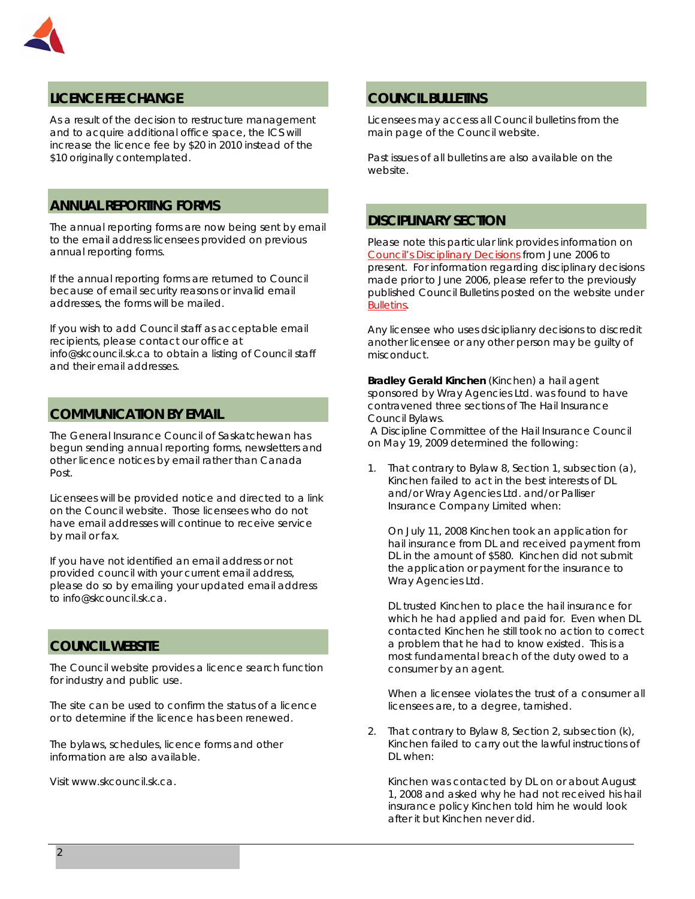

# **LICENCE FEE CHANGE**

As a result of the decision to restructure management and to acquire additional office space, the ICS will increase the licence fee by \$20 in 2010 instead of the \$10 originally contemplated.

## **ANNUAL REPORTING FORMS**

The annual reporting forms are now being sent by email to the email address licensees provided on previous annual reporting forms.

If the annual reporting forms are returned to Council because of email security reasons or invalid email addresses, the forms will be mailed.

If you wish to add Council staff as acceptable email recipients, please contact our office at info@skcouncil.sk.ca to obtain a listing of Council staff and their email addresses.

## **COMMUNICATION BY EMAIL**

The General Insurance Council of Saskatchewan has begun sending annual reporting forms, newsletters and other licence notices by email rather than Canada Post.

Licensees will be provided notice and directed to a link on the Council website. Those licensees who do not have email addresses will continue to receive service by mail or fax.

If you have not identified an email address or not provided council with your current email address, please do so by emailing your updated email address to info@skcouncil.sk.ca.

## **COUNCIL WEBSITE**

The Council website provides a licence search function for industry and public use.

The site can be used to confirm the status of a licence or to determine if the licence has been renewed.

The bylaws, schedules, licence forms and other information are also available.

Visit www.skcouncil.sk.ca.

#### **COUNCIL BULLETINS**

Licensees may access all Council bulletins from the main page of the Council website.

Past issues of all bulletins are also available on the website.

## **DISCIPLINARY SECTION**

Please note this particular link provides information on *Council's Disciplinary Decisions* from June 2006 to present. For information regarding disciplinary decisions made prior to June 2006, please refer to the previously published Council Bulletins posted on the website under *Bulletins*.

Any licensee who uses dsiciplianry decisions to discredit another licensee or any other person may be guilty of misconduct.

**Bradley Gerald Kinchen** (Kinchen) a hail agent sponsored by Wray Agencies Ltd. was found to have contravened three sections of The Hail Insurance Council Bylaws.

 A Discipline Committee of the Hail Insurance Council on May 19, 2009 determined the following:

1. That contrary to Bylaw 8, Section 1, subsection (a), Kinchen failed to act in the best interests of DL and/or Wray Agencies Ltd. and/or Palliser Insurance Company Limited when:

On July 11, 2008 Kinchen took an application for hail insurance from DL and received payment from DL in the amount of \$580. Kinchen did not submit the application or payment for the insurance to Wray Agencies Ltd.

DL trusted Kinchen to place the hail insurance for which he had applied and paid for. Even when DL contacted Kinchen he still took no action to correct a problem that he had to know existed. This is a most fundamental breach of the duty owed to a consumer by an agent.

When a licensee violates the trust of a consumer all licensees are, to a degree, tarnished.

2. That contrary to Bylaw 8, Section 2, subsection (k), Kinchen failed to carry out the lawful instructions of DL when:

Kinchen was contacted by DL on or about August 1, 2008 and asked why he had not received his hail insurance policy Kinchen told him he would look after it but Kinchen never did.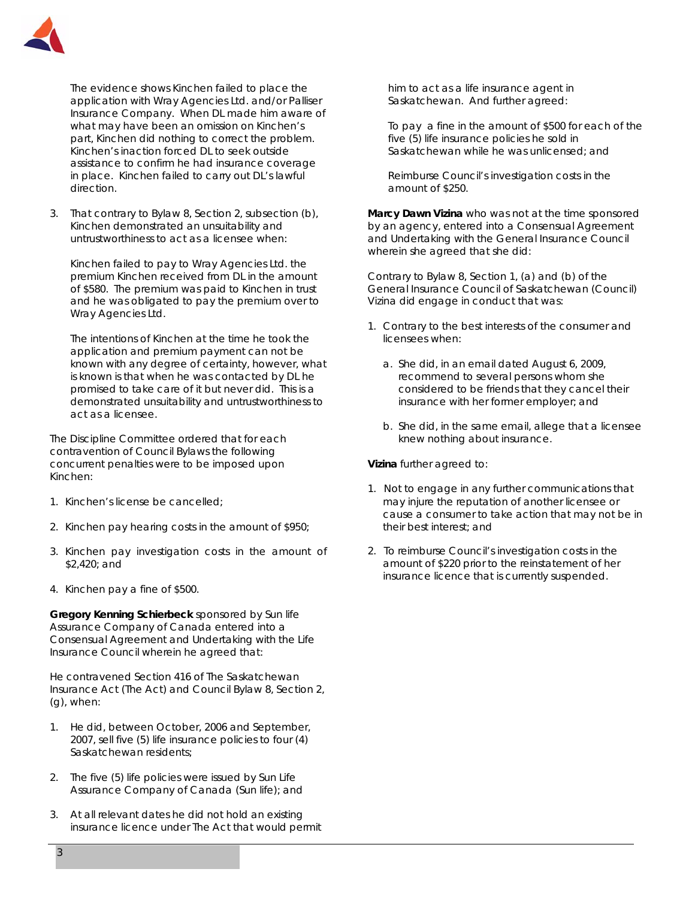

The evidence shows Kinchen failed to place the application with Wray Agencies Ltd. and/or Palliser Insurance Company. When DL made him aware of what may have been an omission on Kinchen's part, Kinchen did nothing to correct the problem. Kinchen's inaction forced DL to seek outside assistance to confirm he had insurance coverage in place. Kinchen failed to carry out DL's lawful direction.

3. That contrary to Bylaw 8, Section 2, subsection (b), Kinchen demonstrated an unsuitability and untrustworthiness to act as a licensee when:

Kinchen failed to pay to Wray Agencies Ltd. the premium Kinchen received from DL in the amount of \$580. The premium was paid to Kinchen in trust and he was obligated to pay the premium over to Wray Agencies Ltd.

The intentions of Kinchen at the time he took the application and premium payment can not be known with any degree of certainty, however, what is known is that when he was contacted by DL he promised to take care of it but never did. This is a demonstrated unsuitability and untrustworthiness to act as a licensee.

The Discipline Committee ordered that for each contravention of Council Bylaws the following concurrent penalties were to be imposed upon Kinchen:

- 1. Kinchen's license be cancelled;
- 2. Kinchen pay hearing costs in the amount of \$950;
- 3. Kinchen pay investigation costs in the amount of \$2,420; and
- 4. Kinchen pay a fine of \$500.

**Gregory Kenning Schierbeck** sponsored by Sun life Assurance Company of Canada entered into a Consensual Agreement and Undertaking with the Life Insurance Council wherein he agreed that:

He contravened Section 416 of *The Saskatchewan Insurance Act* (The Act) and Council Bylaw 8, Section 2, (g), when:

- 1. He did, between October, 2006 and September, 2007, sell five (5) life insurance policies to four (4) Saskatchewan residents;
- 2. The five (5) life policies were issued by Sun Life Assurance Company of Canada (Sun life); and
- 3. At all relevant dates he did not hold an existing insurance licence under The Act that would permit

him to act as a life insurance agent in Saskatchewan. And further agreed:

To pay a fine in the amount of \$500 for each of the five (5) life insurance policies he sold in Saskatchewan while he was unlicensed; and

Reimburse Council's investigation costs in the amount of \$250.

**Marcy Dawn Vizina** who was not at the time sponsored by an agency, entered into a Consensual Agreement and Undertaking with the General Insurance Council wherein she agreed that she did:

Contrary to Bylaw 8, Section 1, (a) and (b) of the General Insurance Council of Saskatchewan (Council) Vizina did engage in conduct that was:

- 1. Contrary to the best interests of the consumer and licensees when:
	- a. She did, in an email dated August 6, 2009, recommend to several persons whom she considered to be friends that they cancel their insurance with her former employer; and
	- b. She did, in the same email, allege that a licensee knew nothing about insurance.

**Vizina** further agreed to:

- 1. Not to engage in any further communications that may injure the reputation of another licensee or cause a consumer to take action that may not be in their best interest; and
- 2. To reimburse Council's investigation costs in the amount of \$220 prior to the reinstatement of her insurance licence that is currently suspended.